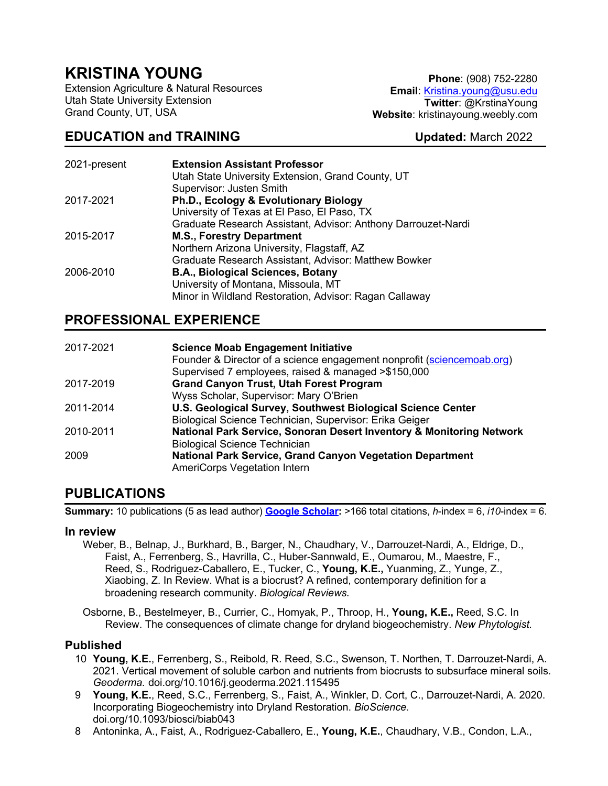# **KRISTINA YOUNG**

Extension Agriculture & Natural Resources Utah State University Extension Grand County, UT, USA

# **EDUCATION and TRAINING Updated:** March 2022

**Phone**: (908) 752-2280 **Email**: Kristina.young@usu.edu **Twitter**: @KrstinaYoung **Website**: kristinayoung.weebly.com

| 2021-present | <b>Extension Assistant Professor</b>                          |
|--------------|---------------------------------------------------------------|
|              | Utah State University Extension, Grand County, UT             |
|              | Supervisor: Justen Smith                                      |
| 2017-2021    | <b>Ph.D., Ecology &amp; Evolutionary Biology</b>              |
|              | University of Texas at El Paso, El Paso, TX                   |
|              | Graduate Research Assistant, Advisor: Anthony Darrouzet-Nardi |
| 2015-2017    | <b>M.S., Forestry Department</b>                              |
|              | Northern Arizona University, Flagstaff, AZ                    |
|              | Graduate Research Assistant, Advisor: Matthew Bowker          |
| 2006-2010    | <b>B.A., Biological Sciences, Botany</b>                      |
|              | University of Montana, Missoula, MT                           |
|              | Minor in Wildland Restoration, Advisor: Ragan Callaway        |

### **PROFESSIONAL EXPERIENCE**

| 2017-2021 | <b>Science Moab Engagement Initiative</b>                              |
|-----------|------------------------------------------------------------------------|
|           | Founder & Director of a science engagement nonprofit (sciencemoab.org) |
|           | Supervised 7 employees, raised & managed >\$150,000                    |
| 2017-2019 | <b>Grand Canyon Trust, Utah Forest Program</b>                         |
|           | Wyss Scholar, Supervisor: Mary O'Brien                                 |
| 2011-2014 | U.S. Geological Survey, Southwest Biological Science Center            |
|           | Biological Science Technician, Supervisor: Erika Geiger                |
| 2010-2011 | National Park Service, Sonoran Desert Inventory & Monitoring Network   |
|           | <b>Biological Science Technician</b>                                   |
| 2009      | <b>National Park Service, Grand Canyon Vegetation Department</b>       |
|           | AmeriCorps Vegetation Intern                                           |

### **PUBLICATIONS**

**Summary:** 10 publications (5 as lead author) **Google Scholar:** >166 total citations, *h*-index = 6, *i10*-index = 6.

#### **In review**

Weber, B., Belnap, J., Burkhard, B., Barger, N., Chaudhary, V., Darrouzet-Nardi, A., Eldrige, D., Faist, A., Ferrenberg, S., Havrilla, C., Huber-Sannwald, E., Oumarou, M., Maestre, F., Reed, S., Rodriguez-Caballero, E., Tucker, C., **Young, K.E.,** Yuanming, Z., Yunge, Z., Xiaobing, Z. In Review. What is a biocrust? A refined, contemporary definition for a broadening research community. *Biological Reviews.*

Osborne, B., Bestelmeyer, B., Currier, C., Homyak, P., Throop, H., **Young, K.E.,** Reed, S.C. In Review. The consequences of climate change for dryland biogeochemistry. *New Phytologist.*

#### **Published**

- 10 **Young, K.E.**, Ferrenberg, S., Reibold, R. Reed, S.C., Swenson, T. Northen, T. Darrouzet-Nardi, A. 2021. Vertical movement of soluble carbon and nutrients from biocrusts to subsurface mineral soils. *Geoderma.* doi.org/10.1016/j.geoderma.2021.115495
- 9 **Young, K.E.**, Reed, S.C., Ferrenberg, S., Faist, A., Winkler, D. Cort, C., Darrouzet-Nardi, A. 2020. Incorporating Biogeochemistry into Dryland Restoration. *BioScience.* doi.org/10.1093/biosci/biab043
- 8 Antoninka, A., Faist, A., Rodriguez-Caballero, E., **Young, K.E.**, Chaudhary, V.B., Condon, L.A.,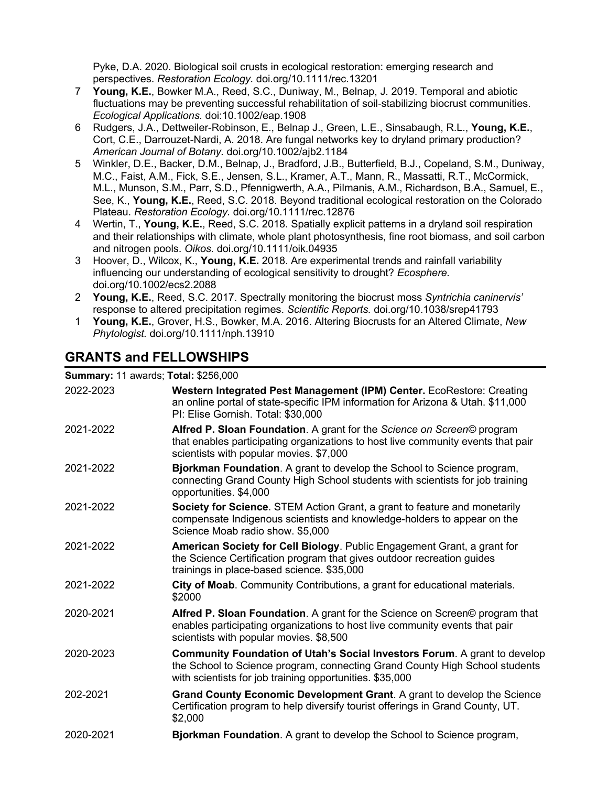Pyke, D.A. 2020. Biological soil crusts in ecological restoration: emerging research and perspectives. *Restoration Ecology.* doi.org/10.1111/rec.13201

- 7 **Young, K.E.**, Bowker M.A., Reed, S.C., Duniway, M., Belnap, J. 2019. Temporal and abiotic fluctuations may be preventing successful rehabilitation of soil-stabilizing biocrust communities. *Ecological Applications.* doi:10.1002/eap.1908
- 6 Rudgers, J.A., Dettweiler-Robinson, E., Belnap J., Green, L.E., Sinsabaugh, R.L., **Young, K.E.**, Cort, C.E., Darrouzet-Nardi, A. 2018. Are fungal networks key to dryland primary production? *American Journal of Botany.* doi.org/10.1002/ajb2.1184
- 5 Winkler, D.E., Backer, D.M., Belnap, J., Bradford, J.B., Butterfield, B.J., Copeland, S.M., Duniway, M.C., Faist, A.M., Fick, S.E., Jensen, S.L., Kramer, A.T., Mann, R., Massatti, R.T., McCormick, M.L., Munson, S.M., Parr, S.D., Pfennigwerth, A.A., Pilmanis, A.M., Richardson, B.A., Samuel, E., See, K., **Young, K.E.**, Reed, S.C. 2018. Beyond traditional ecological restoration on the Colorado Plateau. *Restoration Ecology.* doi.org/10.1111/rec.12876
- 4 Wertin, T., **Young, K.E.**, Reed, S.C. 2018. Spatially explicit patterns in a dryland soil respiration and their relationships with climate, whole plant photosynthesis, fine root biomass, and soil carbon and nitrogen pools. *Oikos.* doi.org/10.1111/oik.04935
- 3 Hoover, D., Wilcox, K., **Young, K.E.** 2018. Are experimental trends and rainfall variability influencing our understanding of ecological sensitivity to drought? *Ecosphere.*  doi.org/10.1002/ecs2.2088
- 2 **Young, K.E.**, Reed, S.C. 2017. Spectrally monitoring the biocrust moss *Syntrichia caninervis'* response to altered precipitation regimes. *Scientific Reports.* doi.org/10.1038/srep41793
- 1 **Young, K.E.**, Grover, H.S., Bowker, M.A. 2016. Altering Biocrusts for an Altered Climate, *New Phytologist.* doi.org/10.1111/nph.13910

# **GRANTS and FELLOWSHIPS**

#### **Summary:** 11 awards; **Total:** \$256,000

| 2022-2023 | Western Integrated Pest Management (IPM) Center. EcoRestore: Creating<br>an online portal of state-specific IPM information for Arizona & Utah. \$11,000<br>PI: Elise Gornish. Total: \$30,000                              |
|-----------|-----------------------------------------------------------------------------------------------------------------------------------------------------------------------------------------------------------------------------|
| 2021-2022 | Alfred P. Sloan Foundation. A grant for the Science on Screen© program<br>that enables participating organizations to host live community events that pair<br>scientists with popular movies. \$7,000                       |
| 2021-2022 | Bjorkman Foundation. A grant to develop the School to Science program,<br>connecting Grand County High School students with scientists for job training<br>opportunities. \$4,000                                           |
| 2021-2022 | Society for Science. STEM Action Grant, a grant to feature and monetarily<br>compensate Indigenous scientists and knowledge-holders to appear on the<br>Science Moab radio show. \$5,000                                    |
| 2021-2022 | American Society for Cell Biology. Public Engagement Grant, a grant for<br>the Science Certification program that gives outdoor recreation guides<br>trainings in place-based science. \$35,000                             |
| 2021-2022 | City of Moab. Community Contributions, a grant for educational materials.<br>\$2000                                                                                                                                         |
| 2020-2021 | Alfred P. Sloan Foundation. A grant for the Science on Screen© program that<br>enables participating organizations to host live community events that pair<br>scientists with popular movies. \$8,500                       |
| 2020-2023 | <b>Community Foundation of Utah's Social Investors Forum.</b> A grant to develop<br>the School to Science program, connecting Grand County High School students<br>with scientists for job training opportunities. \$35,000 |
| 202-2021  | Grand County Economic Development Grant. A grant to develop the Science<br>Certification program to help diversify tourist offerings in Grand County, UT.<br>\$2,000                                                        |
| 2020-2021 | Bjorkman Foundation. A grant to develop the School to Science program,                                                                                                                                                      |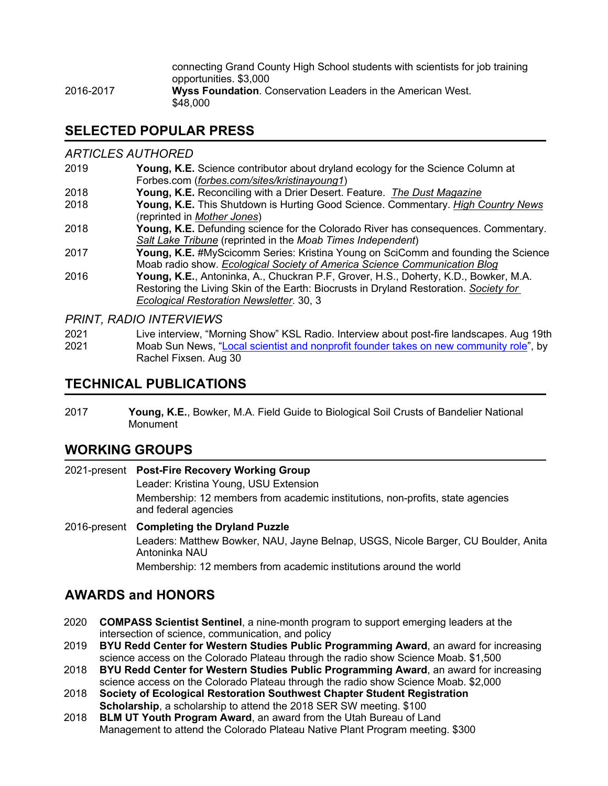connecting Grand County High School students with scientists for job training opportunities. \$3,000 2016-2017 **Wyss Foundation**. Conservation Leaders in the American West. \$48,000

### **SELECTED POPULAR PRESS**

#### *ARTICLES AUTHORED*

- 2019 **Young, K.E.** Science contributor about dryland ecology for the Science Column at Forbes.com (*forbes.com/sites/kristinayoung1*)
- 2018 **Young, K.E.** Reconciling with a Drier Desert. Feature. *The Dust Magazine*
- 2018 **Young, K.E.** This Shutdown is Hurting Good Science. Commentary. *High Country News* (reprinted in *Mother Jones*)
- 2018 **Young, K.E.** Defunding science for the Colorado River has consequences. Commentary. *Salt Lake Tribune* (reprinted in the *Moab Times Independent*)
- 2017 **Young, K.E.** #MyScicomm Series: Kristina Young on SciComm and founding the Science Moab radio show. *Ecological Society of America Science Communication Blog*
- 2016 **Young, K.E.**, Antoninka, A., Chuckran P.F, Grover, H.S., Doherty, K.D., Bowker, M.A. Restoring the Living Skin of the Earth: Biocrusts in Dryland Restoration. *Society for Ecological Restoration Newsletter*. 30, 3

*PRINT, RADIO INTERVIEWS*

2021 Live interview, "Morning Show" KSL Radio. Interview about post-fire landscapes. Aug 19th 2021 Moab Sun News, "Local scientist and nonprofit founder takes on new community role", by Rachel Fixsen. Aug 30

### **TECHNICAL PUBLICATIONS**

2017 **Young, K.E.**, Bowker, M.A. Field Guide to Biological Soil Crusts of Bandelier National Monument

### **WORKING GROUPS**

#### 2021-present **Post-Fire Recovery Working Group** Leader: Kristina Young, USU Extension Membership: 12 members from academic institutions, non-profits, state agencies and federal agencies 2016-present **Completing the Dryland Puzzle** Leaders: Matthew Bowker, NAU, Jayne Belnap, USGS, Nicole Barger, CU Boulder, Anita Antoninka NAU

Membership: 12 members from academic institutions around the world

### **AWARDS and HONORS**

- 2020 **COMPASS Scientist Sentinel**, a nine-month program to support emerging leaders at the intersection of science, communication, and policy
- 2019 **BYU Redd Center for Western Studies Public Programming Award**, an award for increasing science access on the Colorado Plateau through the radio show Science Moab. \$1,500
- 2018 **BYU Redd Center for Western Studies Public Programming Award**, an award for increasing science access on the Colorado Plateau through the radio show Science Moab. \$2,000
- 2018 **Society of Ecological Restoration Southwest Chapter Student Registration Scholarship**, a scholarship to attend the 2018 SER SW meeting. \$100
- 2018 **BLM UT Youth Program Award**, an award from the Utah Bureau of Land Management to attend the Colorado Plateau Native Plant Program meeting. \$300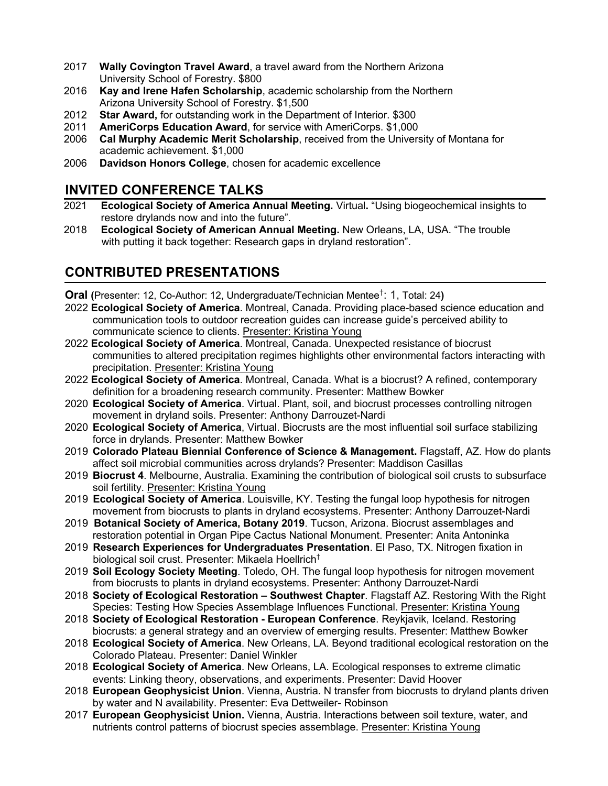- 2017 **Wally Covington Travel Award**, a travel award from the Northern Arizona University School of Forestry. \$800
- 2016 **Kay and Irene Hafen Scholarship**, academic scholarship from the Northern Arizona University School of Forestry. \$1,500
- 2012 **Star Award,** for outstanding work in the Department of Interior. \$300
- 2011 **AmeriCorps Education Award**, for service with AmeriCorps. \$1,000
- 2006 **Cal Murphy Academic Merit Scholarship**, received from the University of Montana for academic achievement. \$1,000
- 2006 **Davidson Honors College**, chosen for academic excellence

## **INVITED CONFERENCE TALKS**

- 2021 **Ecological Society of America Annual Meeting.** Virtual**.** "Using biogeochemical insights to restore drylands now and into the future".
- 2018 **Ecological Society of American Annual Meeting.** New Orleans, LA, USA. "The trouble with putting it back together: Research gaps in dryland restoration".

# **CONTRIBUTED PRESENTATIONS**

**Oral (**Presenter: 12, Co-Author: 12, Undergraduate/Technician Mentee† : 1, Total: 24**)**

- 2022 **Ecological Society of America**. Montreal, Canada. Providing place-based science education and communication tools to outdoor recreation guides can increase guide's perceived ability to communicate science to clients. Presenter: Kristina Young
- 2022 **Ecological Society of America**. Montreal, Canada. Unexpected resistance of biocrust communities to altered precipitation regimes highlights other environmental factors interacting with precipitation. Presenter: Kristina Young
- 2022 **Ecological Society of America**. Montreal, Canada. What is a biocrust? A refined, contemporary definition for a broadening research community. Presenter: Matthew Bowker
- 2020 **Ecological Society of America**. Virtual. Plant, soil, and biocrust processes controlling nitrogen movement in dryland soils. Presenter: Anthony Darrouzet-Nardi
- 2020 **Ecological Society of America**, Virtual. Biocrusts are the most influential soil surface stabilizing force in drylands. Presenter: Matthew Bowker
- 2019 **Colorado Plateau Biennial Conference of Science & Management.** Flagstaff, AZ. How do plants affect soil microbial communities across drylands? Presenter: Maddison Casillas
- 2019 **Biocrust 4**. Melbourne, Australia. Examining the contribution of biological soil crusts to subsurface soil fertility. Presenter: Kristina Young
- 2019 **Ecological Society of America**. Louisville, KY. Testing the fungal loop hypothesis for nitrogen movement from biocrusts to plants in dryland ecosystems. Presenter: Anthony Darrouzet-Nardi
- 2019 **Botanical Society of America, Botany 2019**. Tucson, Arizona. Biocrust assemblages and restoration potential in Organ Pipe Cactus National Monument. Presenter: Anita Antoninka
- 2019 **Research Experiences for Undergraduates Presentation**. El Paso, TX. Nitrogen fixation in biological soil crust. Presenter: Mikaela Hoellrich†
- 2019 **Soil Ecology Society Meeting**. Toledo, OH. The fungal loop hypothesis for nitrogen movement from biocrusts to plants in dryland ecosystems. Presenter: Anthony Darrouzet-Nardi
- 2018 **Society of Ecological Restoration – Southwest Chapter**. Flagstaff AZ. Restoring With the Right Species: Testing How Species Assemblage Influences Functional. Presenter: Kristina Young
- 2018 **Society of Ecological Restoration - European Conference**. Reykjavik, Iceland. Restoring biocrusts: a general strategy and an overview of emerging results. Presenter: Matthew Bowker
- 2018 **Ecological Society of America**. New Orleans, LA. Beyond traditional ecological restoration on the Colorado Plateau. Presenter: Daniel Winkler
- 2018 **Ecological Society of America**. New Orleans, LA. Ecological responses to extreme climatic events: Linking theory, observations, and experiments. Presenter: David Hoover
- 2018 **European Geophysicist Union**. Vienna, Austria. N transfer from biocrusts to dryland plants driven by water and N availability. Presenter: Eva Dettweiler- Robinson
- 2017 **European Geophysicist Union.** Vienna, Austria. Interactions between soil texture, water, and nutrients control patterns of biocrust species assemblage. Presenter: Kristina Young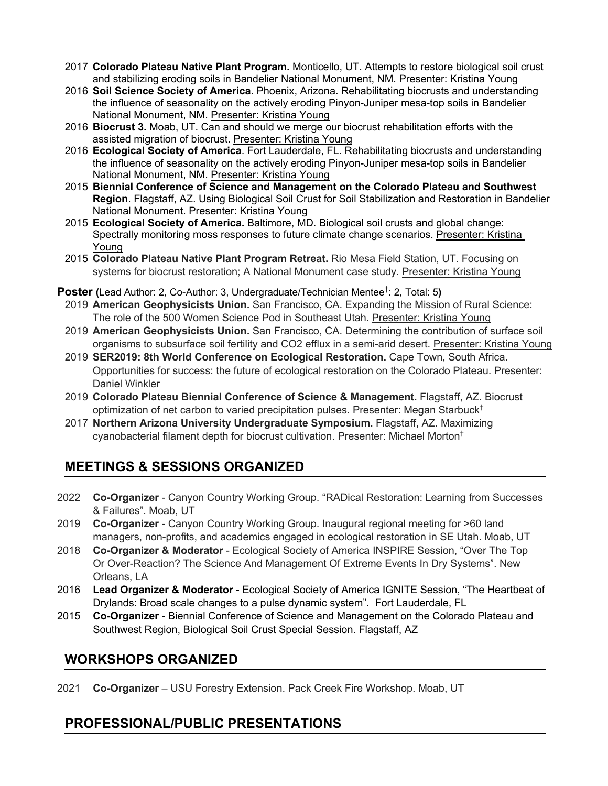- 2017 **Colorado Plateau Native Plant Program.** Monticello, UT. Attempts to restore biological soil crust and stabilizing eroding soils in Bandelier National Monument, NM. Presenter: Kristina Young
- 2016 **Soil Science Society of America**. Phoenix, Arizona. Rehabilitating biocrusts and understanding the influence of seasonality on the actively eroding Pinyon-Juniper mesa-top soils in Bandelier National Monument, NM. Presenter: Kristina Young
- 2016 **Biocrust 3.** Moab, UT. Can and should we merge our biocrust rehabilitation efforts with the assisted migration of biocrust. Presenter: Kristina Young
- 2016 **Ecological Society of America**. Fort Lauderdale, FL. Rehabilitating biocrusts and understanding the influence of seasonality on the actively eroding Pinyon-Juniper mesa-top soils in Bandelier National Monument, NM. Presenter: Kristina Young
- 2015 **Biennial Conference of Science and Management on the Colorado Plateau and Southwest Region**. Flagstaff, AZ. Using Biological Soil Crust for Soil Stabilization and Restoration in Bandelier National Monument. Presenter: Kristina Young
- 2015 **Ecological Society of America.** Baltimore, MD. Biological soil crusts and global change: Spectrally monitoring moss responses to future climate change scenarios. Presenter: Kristina Young
- 2015 **Colorado Plateau Native Plant Program Retreat.** Rio Mesa Field Station, UT. Focusing on systems for biocrust restoration; A National Monument case study. Presenter: Kristina Young
- **Poster (**Lead Author: 2, Co-Author: 3, Undergraduate/Technician Mentee† : 2, Total: 5**)**
- 2019 **American Geophysicists Union.** San Francisco, CA. Expanding the Mission of Rural Science: The role of the 500 Women Science Pod in Southeast Utah. Presenter: Kristina Young
- 2019 **American Geophysicists Union.** San Francisco, CA. Determining the contribution of surface soil organisms to subsurface soil fertility and CO2 efflux in a semi-arid desert. Presenter: Kristina Young
- 2019 **SER2019: 8th World Conference on Ecological Restoration.** Cape Town, South Africa. Opportunities for success: the future of ecological restoration on the Colorado Plateau. Presenter: Daniel Winkler
- 2019 **Colorado Plateau Biennial Conference of Science & Management.** Flagstaff, AZ. Biocrust optimization of net carbon to varied precipitation pulses. Presenter: Megan Starbuck<sup>†</sup>
- 2017 **Northern Arizona University Undergraduate Symposium.** Flagstaff, AZ. Maximizing cyanobacterial filament depth for biocrust cultivation. Presenter: Michael Morton†

# **MEETINGS & SESSIONS ORGANIZED**

- 2022 **Co-Organizer** Canyon Country Working Group. "RADical Restoration: Learning from Successes & Failures". Moab, UT
- 2019 **Co-Organizer** Canyon Country Working Group. Inaugural regional meeting for >60 land managers, non-profits, and academics engaged in ecological restoration in SE Utah. Moab, UT
- 2018 **Co-Organizer & Moderator** Ecological Society of America INSPIRE Session, "Over The Top Or Over-Reaction? The Science And Management Of Extreme Events In Dry Systems". New Orleans, LA
- 2016 **Lead Organizer & Moderator** Ecological Society of America IGNITE Session, "The Heartbeat of Drylands: Broad scale changes to a pulse dynamic system". Fort Lauderdale, FL
- 2015 **Co-Organizer** Biennial Conference of Science and Management on the Colorado Plateau and Southwest Region, Biological Soil Crust Special Session. Flagstaff, AZ

### **WORKSHOPS ORGANIZED**

2021 **Co-Organizer** – USU Forestry Extension. Pack Creek Fire Workshop. Moab, UT

### **PROFESSIONAL/PUBLIC PRESENTATIONS**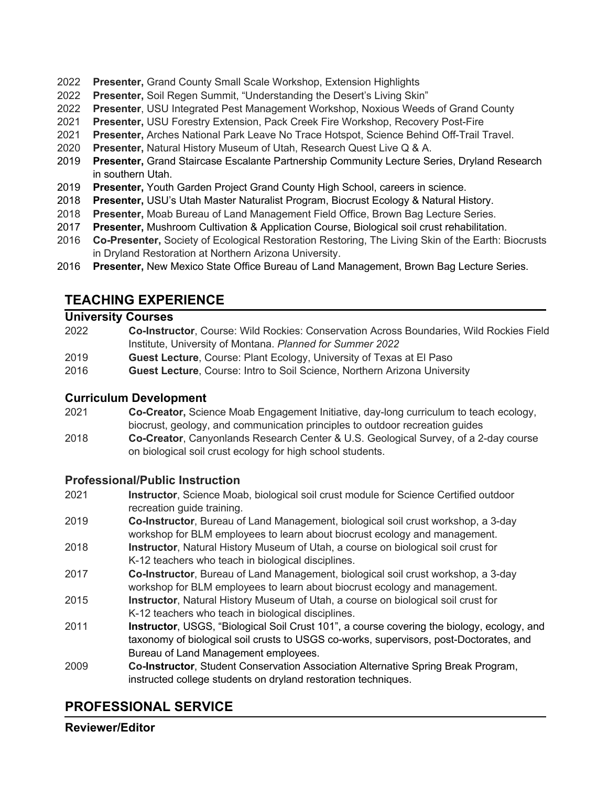- 2022 **Presenter,** Grand County Small Scale Workshop, Extension Highlights
- 2022 **Presenter,** Soil Regen Summit, "Understanding the Desert's Living Skin"
- 2022 **Presenter**, USU Integrated Pest Management Workshop, Noxious Weeds of Grand County
- 2021 **Presenter,** USU Forestry Extension, Pack Creek Fire Workshop, Recovery Post-Fire
- 2021 **Presenter,** Arches National Park Leave No Trace Hotspot, Science Behind Off-Trail Travel.
- 2020 **Presenter,** Natural History Museum of Utah, Research Quest Live Q & A.
- 2019 **Presenter,** Grand Staircase Escalante Partnership Community Lecture Series, Dryland Research in southern Utah.
- 2019 **Presenter,** Youth Garden Project Grand County High School, careers in science.
- 2018 **Presenter,** USU's Utah Master Naturalist Program, Biocrust Ecology & Natural History.
- 2018 **Presenter,** Moab Bureau of Land Management Field Office, Brown Bag Lecture Series.
- 2017 **Presenter,** Mushroom Cultivation & Application Course, Biological soil crust rehabilitation.
- 2016 **Co-Presenter,** Society of Ecological Restoration Restoring, The Living Skin of the Earth: Biocrusts in Dryland Restoration at Northern Arizona University.
- 2016 **Presenter,** New Mexico State Office Bureau of Land Management, Brown Bag Lecture Series.

### **TEACHING EXPERIENCE**

#### **University Courses**

- 2022 **Co-Instructor**, Course: Wild Rockies: Conservation Across Boundaries, Wild Rockies Field Institute, University of Montana. *Planned for Summer 2022*
- 2019 **Guest Lecture**, Course: Plant Ecology, University of Texas at El Paso
- 2016 **Guest Lecture**, Course: Intro to Soil Science, Northern Arizona University

#### **Curriculum Development**

- 2021 **Co-Creator,** Science Moab Engagement Initiative, day-long curriculum to teach ecology, biocrust, geology, and communication principles to outdoor recreation guides
- 2018 **Co-Creator**, Canyonlands Research Center & U.S. Geological Survey, of a 2-day course on biological soil crust ecology for high school students.

#### **Professional/Public Instruction**

- 2021 **Instructor**, Science Moab, biological soil crust module for Science Certified outdoor recreation guide training.
- 2019 **Co-Instructor**, Bureau of Land Management, biological soil crust workshop, a 3-day workshop for BLM employees to learn about biocrust ecology and management.
- 2018 **Instructor**, Natural History Museum of Utah, a course on biological soil crust for K-12 teachers who teach in biological disciplines.
- 2017 **Co-Instructor**, Bureau of Land Management, biological soil crust workshop, a 3-day workshop for BLM employees to learn about biocrust ecology and management.
- 2015 **Instructor**, Natural History Museum of Utah, a course on biological soil crust for K-12 teachers who teach in biological disciplines.
- 2011 **Instructor**, USGS, "Biological Soil Crust 101", a course covering the biology, ecology, and taxonomy of biological soil crusts to USGS co-works, supervisors, post-Doctorates, and Bureau of Land Management employees.
- 2009 **Co-Instructor**, Student Conservation Association Alternative Spring Break Program, instructed college students on dryland restoration techniques.

# **PROFESSIONAL SERVICE**

**Reviewer/Editor**